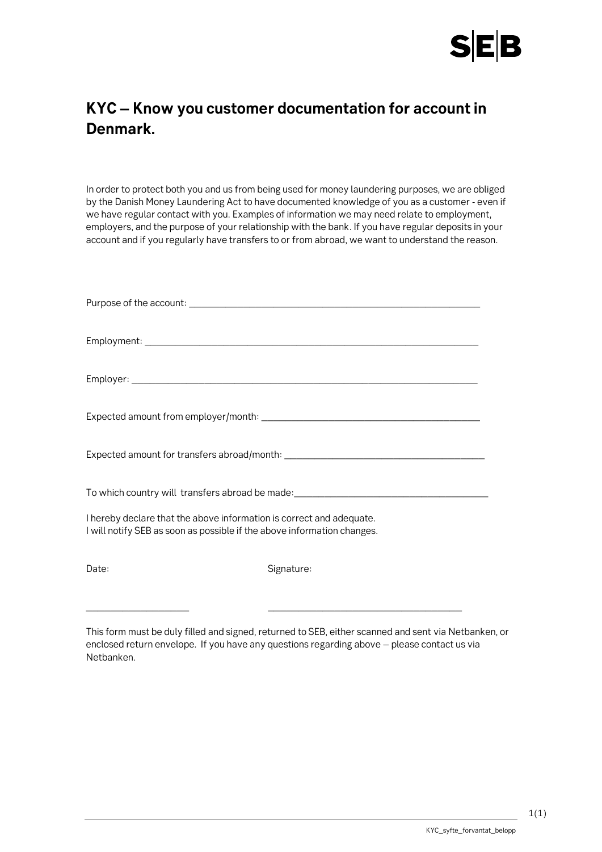

## **KYC – Know you customer documentation for account in Denmark.**

In order to protect both you and us from being used for money laundering purposes, we are obliged by the Danish Money Laundering Act to have documented knowledge of you as a customer - even if we have regular contact with you. Examples of information we may need relate to employment, employers, and the purpose of your relationship with the bank. If you have regular deposits in your account and if you regularly have transfers to or from abroad, we want to understand the reason.

| To which country will transfers abroad be made: ________________________________                                                                |            |
|-------------------------------------------------------------------------------------------------------------------------------------------------|------------|
| I hereby declare that the above information is correct and adequate.<br>I will notify SEB as soon as possible if the above information changes. |            |
| Date:                                                                                                                                           | Signature: |

This form must be duly filled and signed, returned to SEB, either scanned and sent via Netbanken, or enclosed return envelope. If you have any questions regarding above – please contact us via Netbanken.

\_\_\_\_\_\_\_\_\_\_\_\_\_\_\_\_\_ \_\_\_\_\_\_\_\_\_\_\_\_\_\_\_\_\_\_\_\_\_\_\_\_\_\_\_\_\_\_\_\_